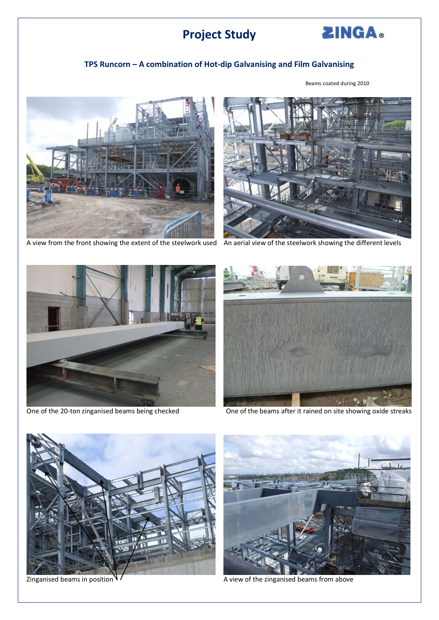## **Project Study**



## **TPS Runcorn – A combination of Hot-dip Galvanising and Film Galvanising**



A view from the front showing the extent of the steelwork used An aerial view of the steelwork showing the different levels







One of the 20-ton zinganised beams being checked One of the beams after it rained on site showing oxide streaks





Zinganised beams in position V / The according to the zinganised beams from above

Beams coated during 2010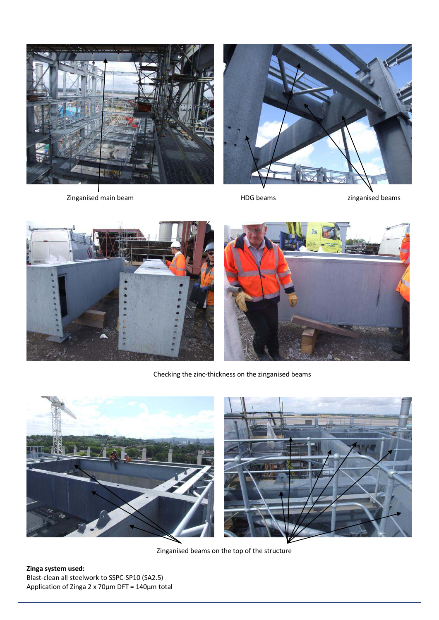

Zinganised main beam and the state of the HDG beams and the state of the state of the state of the zinganised beams







Checking the zinc-thickness on the zinganised beams



Zinganised beams on the top of the structure

**Zinga system used:**  Blast-clean all steelwork to SSPC-SP10 (SA2.5) Application of Zinga 2 x 70µm DFT = 140µm total